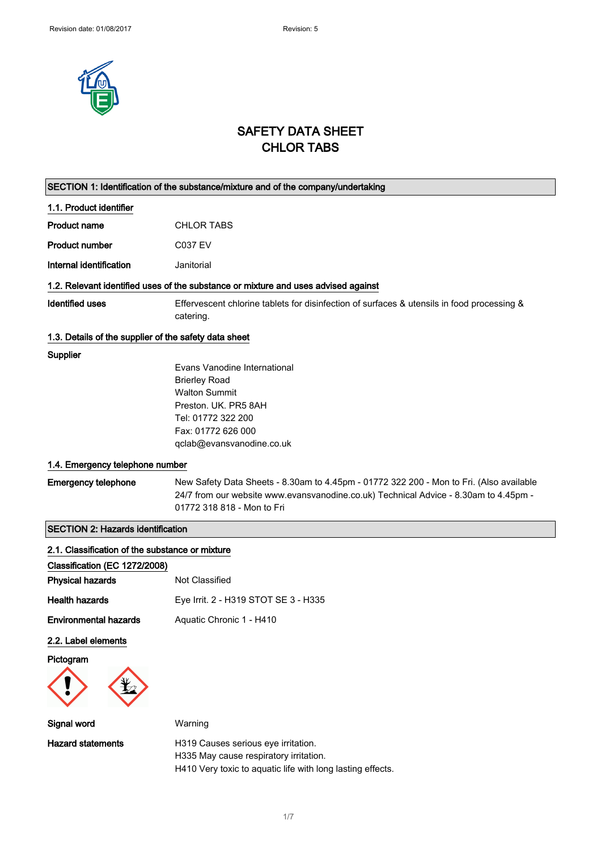

## SAFETY DATA SHEET CHLOR TABS

|                                                       | SECTION 1: Identification of the substance/mixture and of the company/undertaking                                                                                                                             |
|-------------------------------------------------------|---------------------------------------------------------------------------------------------------------------------------------------------------------------------------------------------------------------|
| 1.1. Product identifier                               |                                                                                                                                                                                                               |
| <b>Product name</b>                                   | <b>CHLOR TABS</b>                                                                                                                                                                                             |
| <b>Product number</b>                                 | <b>C037 EV</b>                                                                                                                                                                                                |
| Internal identification                               | Janitorial                                                                                                                                                                                                    |
|                                                       | 1.2. Relevant identified uses of the substance or mixture and uses advised against                                                                                                                            |
| <b>Identified uses</b>                                | Effervescent chlorine tablets for disinfection of surfaces & utensils in food processing &<br>catering.                                                                                                       |
| 1.3. Details of the supplier of the safety data sheet |                                                                                                                                                                                                               |
| Supplier                                              | Evans Vanodine International<br><b>Brierley Road</b><br><b>Walton Summit</b><br>Preston, UK, PR5 8AH<br>Tel: 01772 322 200<br>Fax: 01772 626 000<br>qclab@evansvanodine.co.uk                                 |
| 1.4. Emergency telephone number                       |                                                                                                                                                                                                               |
| <b>Emergency telephone</b>                            | New Safety Data Sheets - 8.30am to 4.45pm - 01772 322 200 - Mon to Fri. (Also available<br>24/7 from our website www.evansvanodine.co.uk) Technical Advice - 8.30am to 4.45pm -<br>01772 318 818 - Mon to Fri |
| <b>SECTION 2: Hazards identification</b>              |                                                                                                                                                                                                               |
| 2.1. Classification of the substance or mixture       |                                                                                                                                                                                                               |
| Classification (EC 1272/2008)                         |                                                                                                                                                                                                               |
| <b>Physical hazards</b>                               | Not Classified                                                                                                                                                                                                |
| <b>Health hazards</b>                                 | Eye Irrit. 2 - H319 STOT SE 3 - H335                                                                                                                                                                          |
| <b>Environmental hazards</b>                          | Aquatic Chronic 1 - H410                                                                                                                                                                                      |
| 2.2. Label elements                                   |                                                                                                                                                                                                               |
| Pictogram                                             |                                                                                                                                                                                                               |
| <b>Signal word</b>                                    | Warning                                                                                                                                                                                                       |
| <b>Hazard statements</b>                              | H319 Causes serious eye irritation.<br>H335 May cause respiratory irritation.<br>H410 Very toxic to aquatic life with long lasting effects.                                                                   |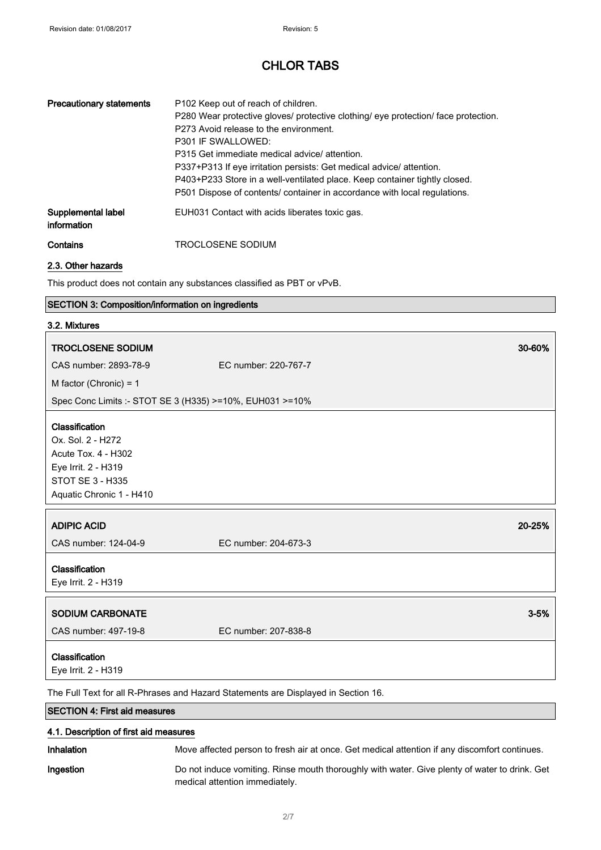| <b>Precautionary statements</b>   | P <sub>102</sub> Keep out of reach of children.<br>P280 Wear protective gloves/ protective clothing/ eye protection/ face protection.<br>P273 Avoid release to the environment.<br>P301 IF SWALLOWED:<br>P315 Get immediate medical advice/ attention.<br>P337+P313 If eye irritation persists: Get medical advice/attention.<br>P403+P233 Store in a well-ventilated place. Keep container tightly closed.<br>P501 Dispose of contents/ container in accordance with local regulations. |
|-----------------------------------|------------------------------------------------------------------------------------------------------------------------------------------------------------------------------------------------------------------------------------------------------------------------------------------------------------------------------------------------------------------------------------------------------------------------------------------------------------------------------------------|
| Supplemental label<br>information | EUH031 Contact with acids liberates toxic gas.                                                                                                                                                                                                                                                                                                                                                                                                                                           |
| Contains                          | TROCLOSENE SODIUM                                                                                                                                                                                                                                                                                                                                                                                                                                                                        |

2.3. Other hazards

This product does not contain any substances classified as PBT or vPvB.

#### SECTION 3: Composition/information on ingredients

| 3.2. Mixtures                                                                                                                            |                                                                                    |          |
|------------------------------------------------------------------------------------------------------------------------------------------|------------------------------------------------------------------------------------|----------|
| <b>TROCLOSENE SODIUM</b>                                                                                                                 | 30-60%                                                                             |          |
| CAS number: 2893-78-9                                                                                                                    | EC number: 220-767-7                                                               |          |
| M factor (Chronic) = 1                                                                                                                   |                                                                                    |          |
| Spec Conc Limits :- STOT SE 3 (H335) >=10%, EUH031 >=10%                                                                                 |                                                                                    |          |
| Classification<br>Ox. Sol. 2 - H272<br>Acute Tox. 4 - H302<br>Eye Irrit. 2 - H319<br><b>STOT SE 3 - H335</b><br>Aquatic Chronic 1 - H410 |                                                                                    |          |
| <b>ADIPIC ACID</b>                                                                                                                       | 20-25%                                                                             |          |
| CAS number: 124-04-9                                                                                                                     | EC number: 204-673-3                                                               |          |
| Classification<br>Eye Irrit. 2 - H319                                                                                                    |                                                                                    |          |
| SODIUM CARBONATE                                                                                                                         |                                                                                    | $3 - 5%$ |
| CAS number: 497-19-8                                                                                                                     | EC number: 207-838-8                                                               |          |
| Classification<br>Eye Irrit. 2 - H319                                                                                                    |                                                                                    |          |
|                                                                                                                                          | The Full Text for all R-Phrases and Hazard Statements are Displayed in Section 16. |          |
| <b>SECTION 4: First aid measures</b>                                                                                                     |                                                                                    |          |

#### 4.1. Description of first aid measures

Inhalation Move affected person to fresh air at once. Get medical attention if any discomfort continues.

Ingestion Do not induce vomiting. Rinse mouth thoroughly with water. Give plenty of water to drink. Get medical attention immediately.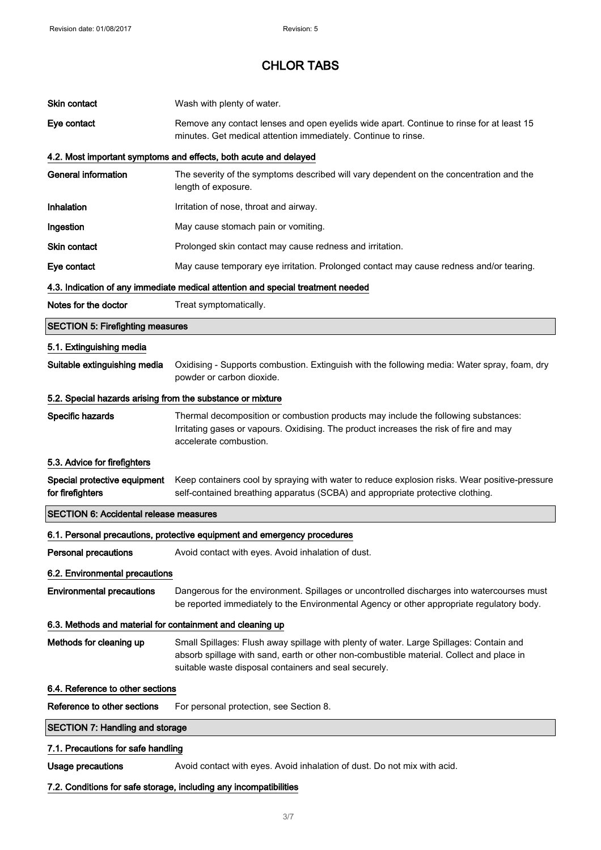| Skin contact                                               | Wash with plenty of water.                                                                                                                                                                                                                   |
|------------------------------------------------------------|----------------------------------------------------------------------------------------------------------------------------------------------------------------------------------------------------------------------------------------------|
| Eye contact                                                | Remove any contact lenses and open eyelids wide apart. Continue to rinse for at least 15<br>minutes. Get medical attention immediately. Continue to rinse.                                                                                   |
|                                                            | 4.2. Most important symptoms and effects, both acute and delayed                                                                                                                                                                             |
| <b>General information</b>                                 | The severity of the symptoms described will vary dependent on the concentration and the<br>length of exposure.                                                                                                                               |
| Inhalation                                                 | Irritation of nose, throat and airway.                                                                                                                                                                                                       |
| Ingestion                                                  | May cause stomach pain or vomiting.                                                                                                                                                                                                          |
| Skin contact                                               | Prolonged skin contact may cause redness and irritation.                                                                                                                                                                                     |
| Eye contact                                                | May cause temporary eye irritation. Prolonged contact may cause redness and/or tearing.                                                                                                                                                      |
|                                                            | 4.3. Indication of any immediate medical attention and special treatment needed                                                                                                                                                              |
| Notes for the doctor                                       | Treat symptomatically.                                                                                                                                                                                                                       |
| <b>SECTION 5: Firefighting measures</b>                    |                                                                                                                                                                                                                                              |
| 5.1. Extinguishing media                                   |                                                                                                                                                                                                                                              |
| Suitable extinguishing media                               | Oxidising - Supports combustion. Extinguish with the following media: Water spray, foam, dry<br>powder or carbon dioxide.                                                                                                                    |
| 5.2. Special hazards arising from the substance or mixture |                                                                                                                                                                                                                                              |
| Specific hazards                                           | Thermal decomposition or combustion products may include the following substances:<br>Irritating gases or vapours. Oxidising. The product increases the risk of fire and may<br>accelerate combustion.                                       |
| 5.3. Advice for firefighters                               |                                                                                                                                                                                                                                              |
| Special protective equipment<br>for firefighters           | Keep containers cool by spraying with water to reduce explosion risks. Wear positive-pressure<br>self-contained breathing apparatus (SCBA) and appropriate protective clothing.                                                              |
| <b>SECTION 6: Accidental release measures</b>              |                                                                                                                                                                                                                                              |
|                                                            | 6.1. Personal precautions, protective equipment and emergency procedures                                                                                                                                                                     |
| <b>Personal precautions</b>                                | Avoid contact with eyes. Avoid inhalation of dust.                                                                                                                                                                                           |
| 6.2. Environmental precautions                             |                                                                                                                                                                                                                                              |
| <b>Environmental precautions</b>                           | Dangerous for the environment. Spillages or uncontrolled discharges into watercourses must<br>be reported immediately to the Environmental Agency or other appropriate regulatory body.                                                      |
| 6.3. Methods and material for containment and cleaning up  |                                                                                                                                                                                                                                              |
| Methods for cleaning up                                    | Small Spillages: Flush away spillage with plenty of water. Large Spillages: Contain and<br>absorb spillage with sand, earth or other non-combustible material. Collect and place in<br>suitable waste disposal containers and seal securely. |
| 6.4. Reference to other sections                           |                                                                                                                                                                                                                                              |
| Reference to other sections                                | For personal protection, see Section 8.                                                                                                                                                                                                      |
| <b>SECTION 7: Handling and storage</b>                     |                                                                                                                                                                                                                                              |
| 7.1. Precautions for safe handling                         |                                                                                                                                                                                                                                              |
| <b>Usage precautions</b>                                   | Avoid contact with eyes. Avoid inhalation of dust. Do not mix with acid.                                                                                                                                                                     |
|                                                            | 7.2. Conditions for safe storage, including any incompatibilities                                                                                                                                                                            |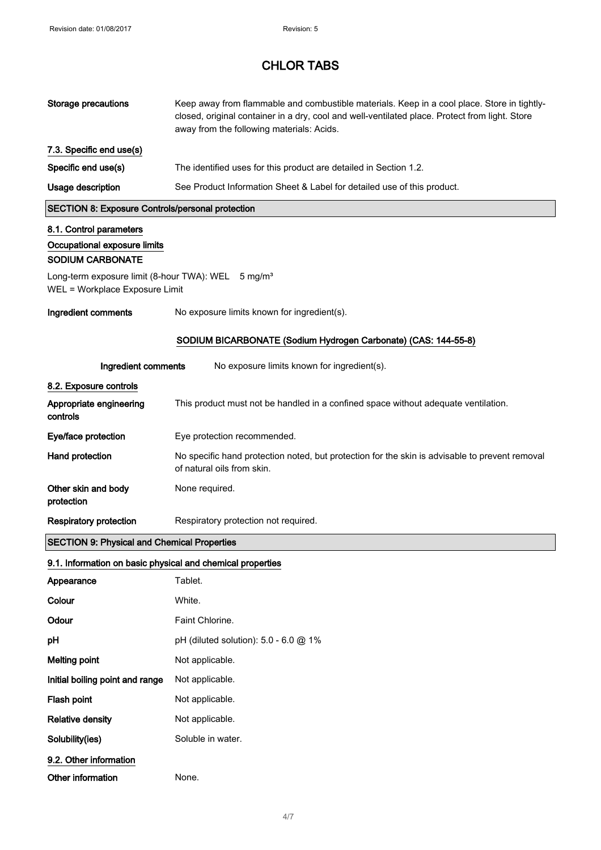| <b>Storage precautions</b>                                                                       | Keep away from flammable and combustible materials. Keep in a cool place. Store in tightly-<br>closed, original container in a dry, cool and well-ventilated place. Protect from light. Store<br>away from the following materials: Acids. |
|--------------------------------------------------------------------------------------------------|--------------------------------------------------------------------------------------------------------------------------------------------------------------------------------------------------------------------------------------------|
| 7.3. Specific end use(s)                                                                         |                                                                                                                                                                                                                                            |
| Specific end use(s)                                                                              | The identified uses for this product are detailed in Section 1.2.                                                                                                                                                                          |
| Usage description                                                                                | See Product Information Sheet & Label for detailed use of this product.                                                                                                                                                                    |
| <b>SECTION 8: Exposure Controls/personal protection</b>                                          |                                                                                                                                                                                                                                            |
| 8.1. Control parameters                                                                          |                                                                                                                                                                                                                                            |
| Occupational exposure limits<br><b>SODIUM CARBONATE</b>                                          |                                                                                                                                                                                                                                            |
| Long-term exposure limit (8-hour TWA): WEL 5 mg/m <sup>3</sup><br>WEL = Workplace Exposure Limit |                                                                                                                                                                                                                                            |
| Ingredient comments                                                                              | No exposure limits known for ingredient(s).                                                                                                                                                                                                |
|                                                                                                  | SODIUM BICARBONATE (Sodium Hydrogen Carbonate) (CAS: 144-55-8)                                                                                                                                                                             |
| Ingredient comments                                                                              | No exposure limits known for ingredient(s).                                                                                                                                                                                                |
| 8.2. Exposure controls                                                                           |                                                                                                                                                                                                                                            |
| Appropriate engineering<br>controls                                                              | This product must not be handled in a confined space without adequate ventilation.                                                                                                                                                         |
| Eye/face protection                                                                              | Eye protection recommended.                                                                                                                                                                                                                |
| <b>Hand protection</b>                                                                           | No specific hand protection noted, but protection for the skin is advisable to prevent removal<br>of natural oils from skin.                                                                                                               |
| Other skin and body<br>protection                                                                | None required.                                                                                                                                                                                                                             |
| <b>Respiratory protection</b>                                                                    | Respiratory protection not required.                                                                                                                                                                                                       |
| <b>SECTION 9: Physical and Chemical Properties</b>                                               |                                                                                                                                                                                                                                            |
| 9.1. Information on basic physical and chemical properties                                       |                                                                                                                                                                                                                                            |
| Appearance                                                                                       | Tablet.                                                                                                                                                                                                                                    |
| Colour                                                                                           | White.                                                                                                                                                                                                                                     |
| Odour                                                                                            | Faint Chlorine.                                                                                                                                                                                                                            |
| pH                                                                                               | pH (diluted solution): 5.0 - 6.0 @ 1%                                                                                                                                                                                                      |
| <b>Melting point</b>                                                                             | Not applicable.                                                                                                                                                                                                                            |
| Initial boiling point and range                                                                  | Not applicable.                                                                                                                                                                                                                            |
| Flash point                                                                                      | Not applicable.                                                                                                                                                                                                                            |
| <b>Relative density</b>                                                                          | Not applicable.                                                                                                                                                                                                                            |
| Solubility(ies)                                                                                  | Soluble in water.                                                                                                                                                                                                                          |
| 9.2. Other information                                                                           |                                                                                                                                                                                                                                            |
| Other information                                                                                | None.                                                                                                                                                                                                                                      |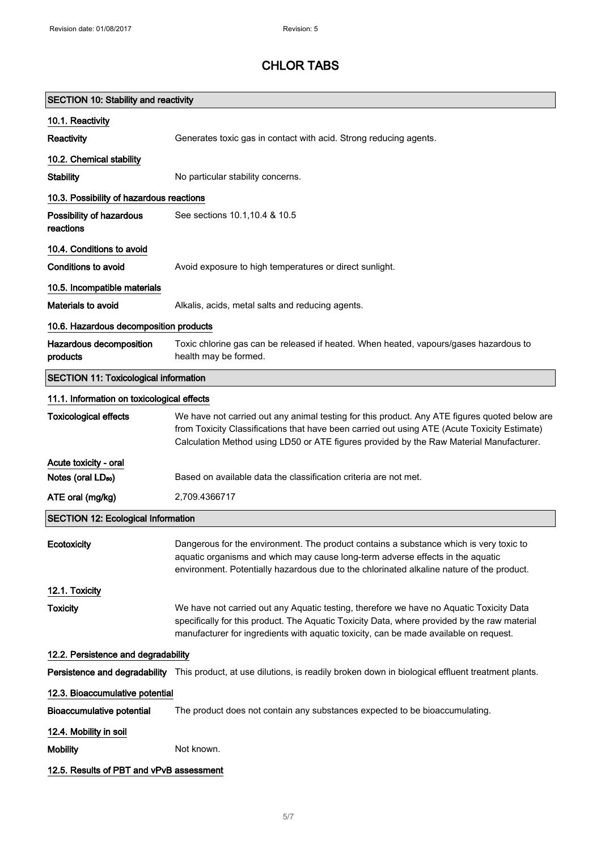| <b>SECTION 10: Stability and reactivity</b>  |                                                                                                                                                                                                                                                                                          |
|----------------------------------------------|------------------------------------------------------------------------------------------------------------------------------------------------------------------------------------------------------------------------------------------------------------------------------------------|
| 10.1. Reactivity                             |                                                                                                                                                                                                                                                                                          |
| Reactivity                                   | Generates toxic gas in contact with acid. Strong reducing agents.                                                                                                                                                                                                                        |
| 10.2. Chemical stability                     |                                                                                                                                                                                                                                                                                          |
| <b>Stability</b>                             | No particular stability concerns.                                                                                                                                                                                                                                                        |
| 10.3. Possibility of hazardous reactions     |                                                                                                                                                                                                                                                                                          |
| Possibility of hazardous<br>reactions        | See sections 10.1, 10.4 & 10.5                                                                                                                                                                                                                                                           |
| 10.4. Conditions to avoid                    |                                                                                                                                                                                                                                                                                          |
| <b>Conditions to avoid</b>                   | Avoid exposure to high temperatures or direct sunlight.                                                                                                                                                                                                                                  |
| 10.5. Incompatible materials                 |                                                                                                                                                                                                                                                                                          |
| <b>Materials to avoid</b>                    | Alkalis, acids, metal salts and reducing agents.                                                                                                                                                                                                                                         |
| 10.6. Hazardous decomposition products       |                                                                                                                                                                                                                                                                                          |
| Hazardous decomposition<br>products          | Toxic chlorine gas can be released if heated. When heated, vapours/gases hazardous to<br>health may be formed.                                                                                                                                                                           |
| <b>SECTION 11: Toxicological information</b> |                                                                                                                                                                                                                                                                                          |
| 11.1. Information on toxicological effects   |                                                                                                                                                                                                                                                                                          |
| <b>Toxicological effects</b>                 | We have not carried out any animal testing for this product. Any ATE figures quoted below are<br>from Toxicity Classifications that have been carried out using ATE (Acute Toxicity Estimate)<br>Calculation Method using LD50 or ATE figures provided by the Raw Material Manufacturer. |
| Acute toxicity - oral                        |                                                                                                                                                                                                                                                                                          |
| Notes (oral LD <sub>50</sub> )               | Based on available data the classification criteria are not met.                                                                                                                                                                                                                         |
| ATE oral (mg/kg)                             | 2,709.4366717                                                                                                                                                                                                                                                                            |
| <b>SECTION 12: Ecological Information</b>    |                                                                                                                                                                                                                                                                                          |
| Ecotoxicity                                  | Dangerous for the environment. The product contains a substance which is very toxic to<br>aquatic organisms and which may cause long-term adverse effects in the aquatic<br>environment. Potentially hazardous due to the chlorinated alkaline nature of the product.                    |
| 12.1. Toxicity                               |                                                                                                                                                                                                                                                                                          |
| <b>Toxicity</b>                              | We have not carried out any Aquatic testing, therefore we have no Aquatic Toxicity Data<br>specifically for this product. The Aquatic Toxicity Data, where provided by the raw material<br>manufacturer for ingredients with aquatic toxicity, can be made available on request.         |
| 12.2. Persistence and degradability          |                                                                                                                                                                                                                                                                                          |
|                                              | Persistence and degradability This product, at use dilutions, is readily broken down in biological effluent treatment plants.                                                                                                                                                            |
| 12.3. Bioaccumulative potential              |                                                                                                                                                                                                                                                                                          |
| <b>Bioaccumulative potential</b>             | The product does not contain any substances expected to be bioaccumulating.                                                                                                                                                                                                              |
| 12.4. Mobility in soil                       |                                                                                                                                                                                                                                                                                          |
| <b>Mobility</b>                              | Not known.                                                                                                                                                                                                                                                                               |
| 12.5. Results of PBT and vPvB assessment     |                                                                                                                                                                                                                                                                                          |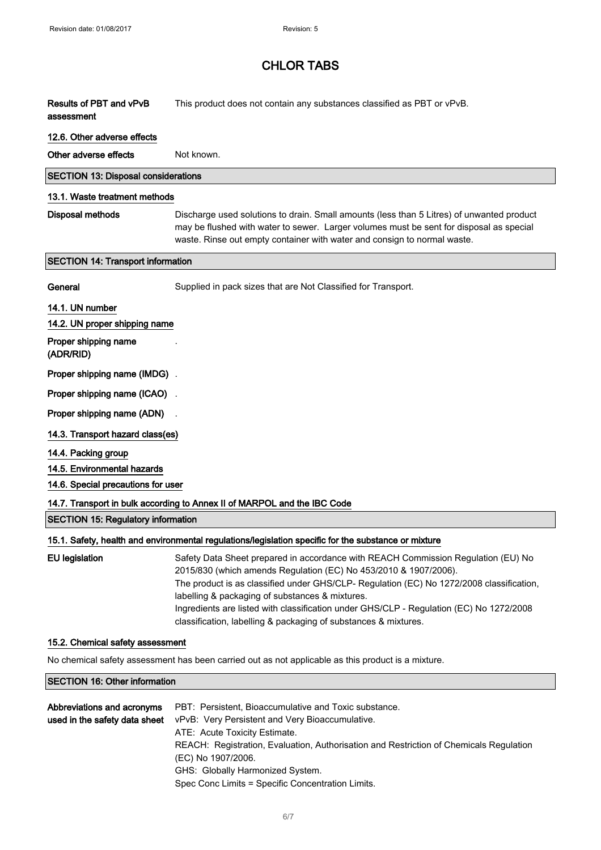| Results of PBT and vPvB<br>assessment      | This product does not contain any substances classified as PBT or vPvB.                                                                                                                                                                                                                                                                                                                                                                                            |
|--------------------------------------------|--------------------------------------------------------------------------------------------------------------------------------------------------------------------------------------------------------------------------------------------------------------------------------------------------------------------------------------------------------------------------------------------------------------------------------------------------------------------|
| 12.6. Other adverse effects                |                                                                                                                                                                                                                                                                                                                                                                                                                                                                    |
| Other adverse effects                      | Not known.                                                                                                                                                                                                                                                                                                                                                                                                                                                         |
| <b>SECTION 13: Disposal considerations</b> |                                                                                                                                                                                                                                                                                                                                                                                                                                                                    |
| 13.1. Waste treatment methods              |                                                                                                                                                                                                                                                                                                                                                                                                                                                                    |
| <b>Disposal methods</b>                    | Discharge used solutions to drain. Small amounts (less than 5 Litres) of unwanted product<br>may be flushed with water to sewer. Larger volumes must be sent for disposal as special<br>waste. Rinse out empty container with water and consign to normal waste.                                                                                                                                                                                                   |
| <b>SECTION 14: Transport information</b>   |                                                                                                                                                                                                                                                                                                                                                                                                                                                                    |
| General                                    | Supplied in pack sizes that are Not Classified for Transport.                                                                                                                                                                                                                                                                                                                                                                                                      |
| 14.1. UN number                            |                                                                                                                                                                                                                                                                                                                                                                                                                                                                    |
| 14.2. UN proper shipping name              |                                                                                                                                                                                                                                                                                                                                                                                                                                                                    |
| Proper shipping name<br>(ADR/RID)          |                                                                                                                                                                                                                                                                                                                                                                                                                                                                    |
| Proper shipping name (IMDG).               |                                                                                                                                                                                                                                                                                                                                                                                                                                                                    |
| Proper shipping name (ICAO)                |                                                                                                                                                                                                                                                                                                                                                                                                                                                                    |
| Proper shipping name (ADN)                 |                                                                                                                                                                                                                                                                                                                                                                                                                                                                    |
| 14.3. Transport hazard class(es)           |                                                                                                                                                                                                                                                                                                                                                                                                                                                                    |
| 14.4. Packing group                        |                                                                                                                                                                                                                                                                                                                                                                                                                                                                    |
| 14.5. Environmental hazards                |                                                                                                                                                                                                                                                                                                                                                                                                                                                                    |
| 14.6. Special precautions for user         |                                                                                                                                                                                                                                                                                                                                                                                                                                                                    |
|                                            | 14.7. Transport in bulk according to Annex II of MARPOL and the IBC Code                                                                                                                                                                                                                                                                                                                                                                                           |
| <b>SECTION 15: Regulatory information</b>  |                                                                                                                                                                                                                                                                                                                                                                                                                                                                    |
|                                            | 15.1. Safety, health and environmental regulations/legislation specific for the substance or mixture                                                                                                                                                                                                                                                                                                                                                               |
| <b>EU</b> legislation                      | Safety Data Sheet prepared in accordance with REACH Commission Regulation (EU) No<br>2015/830 (which amends Regulation (EC) No 453/2010 & 1907/2006).<br>The product is as classified under GHS/CLP- Regulation (EC) No 1272/2008 classification,<br>labelling & packaging of substances & mixtures.<br>Ingredients are listed with classification under GHS/CLP - Regulation (EC) No 1272/2008<br>classification, labelling & packaging of substances & mixtures. |

#### 15.2. Chemical safety assessment

No chemical safety assessment has been carried out as not applicable as this product is a mixture.

#### SECTION 16: Other information

| Abbreviations and acronyms    | PBT: Persistent, Bioaccumulative and Toxic substance.                                  |
|-------------------------------|----------------------------------------------------------------------------------------|
| used in the safety data sheet | vPvB: Very Persistent and Very Bioaccumulative.                                        |
|                               | ATE: Acute Toxicity Estimate.                                                          |
|                               | REACH: Registration, Evaluation, Authorisation and Restriction of Chemicals Regulation |
|                               | (EC) No 1907/2006.                                                                     |
|                               | GHS: Globally Harmonized System.                                                       |
|                               | Spec Conc Limits = Specific Concentration Limits.                                      |